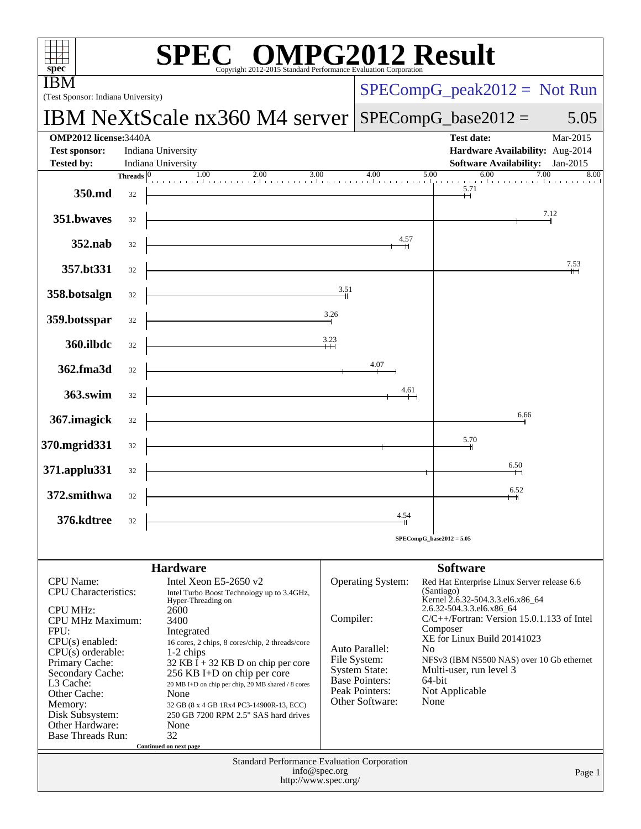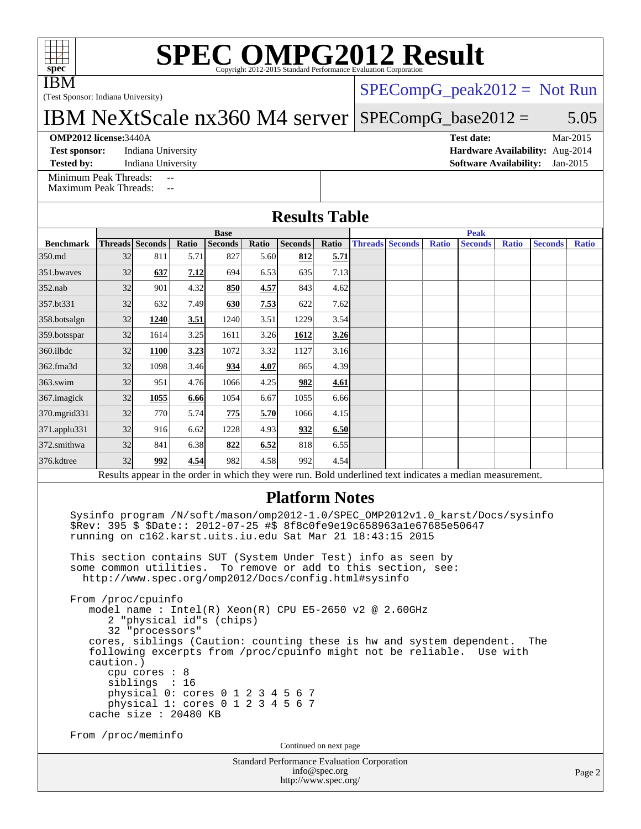# **[SPEC OMPG2012 Result](http://www.spec.org/auto/omp2012/Docs/result-fields.html#SPECOMPG2012Result)**

IBM

(Test Sponsor: Indiana University)

## $SPECompG_peak2012 = Not Run$  $SPECompG_peak2012 = Not Run$

IBM NeXtScale nx360 M4 server [SPECompG\\_base2012 =](http://www.spec.org/auto/omp2012/Docs/result-fields.html#SPECompGbase2012) 5.05

#### **[OMP2012 license:](http://www.spec.org/auto/omp2012/Docs/result-fields.html#OMP2012license)**3440A **[Test date:](http://www.spec.org/auto/omp2012/Docs/result-fields.html#Testdate)** Mar-2015

**[Test sponsor:](http://www.spec.org/auto/omp2012/Docs/result-fields.html#Testsponsor)** Indiana University **[Hardware Availability:](http://www.spec.org/auto/omp2012/Docs/result-fields.html#HardwareAvailability)** Aug-2014

**[Tested by:](http://www.spec.org/auto/omp2012/Docs/result-fields.html#Testedby)** Indiana University **[Software Availability:](http://www.spec.org/auto/omp2012/Docs/result-fields.html#SoftwareAvailability)** Jan-2015

[Minimum Peak Threads:](http://www.spec.org/auto/omp2012/Docs/result-fields.html#MinimumPeakThreads) [Maximum Peak Threads:](http://www.spec.org/auto/omp2012/Docs/result-fields.html#MaximumPeakThreads)

**[Results Table](http://www.spec.org/auto/omp2012/Docs/result-fields.html#ResultsTable)**

|                  | <b>Base</b> |                 |       |                |       |                |             |  | <b>Peak</b>            |              |                                                                                                          |              |                |              |  |
|------------------|-------------|-----------------|-------|----------------|-------|----------------|-------------|--|------------------------|--------------|----------------------------------------------------------------------------------------------------------|--------------|----------------|--------------|--|
| <b>Benchmark</b> |             | Threads Seconds | Ratio | <b>Seconds</b> | Ratio | <b>Seconds</b> | Ratio       |  | <b>Threads Seconds</b> | <b>Ratio</b> | <b>Seconds</b>                                                                                           | <b>Ratio</b> | <b>Seconds</b> | <b>Ratio</b> |  |
| 350.md           | 32          | 811             | 5.71  | 827            | 5.60  | 812            | <u>5.71</u> |  |                        |              |                                                                                                          |              |                |              |  |
| 351.bwayes       | 32          | 637             | 7.12  | 694            | 6.53  | 635            | 7.13        |  |                        |              |                                                                                                          |              |                |              |  |
| $352$ .nab       | 32          | 901             | 4.32  | 850            | 4.57  | 843            | 4.62        |  |                        |              |                                                                                                          |              |                |              |  |
| 357.bt331        | 32          | 632             | 7.49  | 630            | 7.53  | 622            | 7.62        |  |                        |              |                                                                                                          |              |                |              |  |
| 358.botsalgn     | 32          | 1240            | 3.51  | 1240           | 3.51  | 1229           | 3.54        |  |                        |              |                                                                                                          |              |                |              |  |
| 359.botsspar     | 32          | 1614            | 3.25  | 1611           | 3.26  | 1612           | 3.26        |  |                        |              |                                                                                                          |              |                |              |  |
| 360.ilbdc        | 32          | <b>1100</b>     | 3.23  | 1072           | 3.32  | 1127           | 3.16        |  |                        |              |                                                                                                          |              |                |              |  |
| 362.fma3d        | 32          | 1098            | 3.46  | 934            | 4.07  | 865            | 4.39        |  |                        |              |                                                                                                          |              |                |              |  |
| $363$ .swim      | 32          | 951             | 4.76  | 1066           | 4.25  | 982            | 4.61        |  |                        |              |                                                                                                          |              |                |              |  |
| 367. imagick     | 32          | 1055            | 6.66  | 1054           | 6.67  | 1055           | 6.66        |  |                        |              |                                                                                                          |              |                |              |  |
| 370.mgrid331     | 32          | 770             | 5.74  | 775            | 5.70  | 1066           | 4.15        |  |                        |              |                                                                                                          |              |                |              |  |
| 371.applu331     | 32          | 916             | 6.62  | 1228           | 4.93  | 932            | 6.50        |  |                        |              |                                                                                                          |              |                |              |  |
| 372.smithwa      | 32          | 841             | 6.38  | 822            | 6.52  | 818            | 6.55        |  |                        |              |                                                                                                          |              |                |              |  |
| 376.kdtree       | 32          | 992             | 4.54  | 982            | 4.58  | 992            | 4.54        |  |                        |              |                                                                                                          |              |                |              |  |
|                  |             |                 |       |                |       |                |             |  |                        |              | Results appear in the order in which they were run. Bold underlined text indicates a median measurement. |              |                |              |  |

### **[Platform Notes](http://www.spec.org/auto/omp2012/Docs/result-fields.html#PlatformNotes)**

 Sysinfo program /N/soft/mason/omp2012-1.0/SPEC\_OMP2012v1.0\_karst/Docs/sysinfo \$Rev: 395 \$ \$Date:: 2012-07-25 #\$ 8f8c0fe9e19c658963a1e67685e50647 running on c162.karst.uits.iu.edu Sat Mar 21 18:43:15 2015

 This section contains SUT (System Under Test) info as seen by some common utilities. To remove or add to this section, see: <http://www.spec.org/omp2012/Docs/config.html#sysinfo>

 From /proc/cpuinfo model name : Intel(R) Xeon(R) CPU E5-2650 v2 @ 2.60GHz 2 "physical id"s (chips) 32 "processors" cores, siblings (Caution: counting these is hw and system dependent. The following excerpts from /proc/cpuinfo might not be reliable. Use with caution.) cpu cores : 8 siblings : 16 physical 0: cores 0 1 2 3 4 5 6 7 physical 1: cores 0 1 2 3 4 5 6 7 cache size : 20480 KB

From /proc/meminfo

Continued on next page

Standard Performance Evaluation Corporation [info@spec.org](mailto:info@spec.org) <http://www.spec.org/>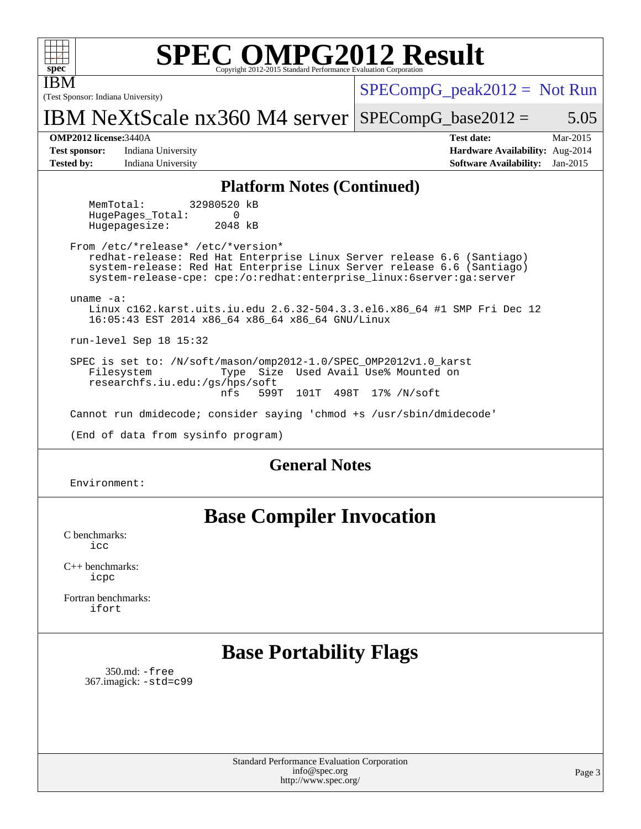| <b>SPEC OMPG2012 Result</b><br>spec <sup>®</sup><br>Copyright 2012-2015 Standard Performance Evaluation Corporation                                                                                                                                            |                                                                                                     |  |  |  |  |  |  |  |  |
|----------------------------------------------------------------------------------------------------------------------------------------------------------------------------------------------------------------------------------------------------------------|-----------------------------------------------------------------------------------------------------|--|--|--|--|--|--|--|--|
| IBM<br>(Test Sponsor: Indiana University)                                                                                                                                                                                                                      | $SPECompG_peak2012 = Not Run$                                                                       |  |  |  |  |  |  |  |  |
| IBM NeXtScale $nx360$ M4 server SPECompG_base2012 =                                                                                                                                                                                                            | 5.05                                                                                                |  |  |  |  |  |  |  |  |
| <b>OMP2012 license: 3440A</b><br>Indiana University<br><b>Test sponsor:</b><br><b>Tested by:</b><br>Indiana University                                                                                                                                         | <b>Test date:</b><br>Mar-2015<br>Hardware Availability: Aug-2014<br>Software Availability: Jan-2015 |  |  |  |  |  |  |  |  |
| <b>Platform Notes (Continued)</b>                                                                                                                                                                                                                              |                                                                                                     |  |  |  |  |  |  |  |  |
| 32980520 kB<br>MemTotal:<br>HugePages Total:<br>$\Omega$<br>2048 kB<br>Hugepagesize:                                                                                                                                                                           |                                                                                                     |  |  |  |  |  |  |  |  |
| From /etc/*release* /etc/*version*<br>redhat-release: Red Hat Enterprise Linux Server release 6.6 (Santiago)<br>system-release: Red Hat Enterprise Linux Server release 6.6 (Santiago)<br>system-release-cpe: cpe:/o:redhat:enterprise_linux:6server:ga:server |                                                                                                     |  |  |  |  |  |  |  |  |
| uname $-a$ :<br>Linux c162.karst.uits.iu.edu 2.6.32-504.3.3.el6.x86_64 #1 SMP Fri Dec 12<br>16:05:43 EST 2014 x86_64 x86_64 x86_64 GNU/Linux                                                                                                                   |                                                                                                     |  |  |  |  |  |  |  |  |
| $run-level$ Sep 18 15:32                                                                                                                                                                                                                                       |                                                                                                     |  |  |  |  |  |  |  |  |
| SPEC is set to: /N/soft/mason/omp2012-1.0/SPEC_OMP2012v1.0_karst<br>Filesystem<br>Type Size Used Avail Use% Mounted on<br>researchfs.iu.edu:/qs/hps/soft<br>599T<br>498T<br>17% /N/soft<br>nfs<br>101T                                                         |                                                                                                     |  |  |  |  |  |  |  |  |
| Cannot run dmidecode; consider saying 'chmod +s /usr/sbin/dmidecode'                                                                                                                                                                                           |                                                                                                     |  |  |  |  |  |  |  |  |
| (End of data from sysinfo program)                                                                                                                                                                                                                             |                                                                                                     |  |  |  |  |  |  |  |  |
| <b>General Notes</b>                                                                                                                                                                                                                                           |                                                                                                     |  |  |  |  |  |  |  |  |
| Environment:                                                                                                                                                                                                                                                   |                                                                                                     |  |  |  |  |  |  |  |  |
| <b>Base Compiler Invocation</b>                                                                                                                                                                                                                                |                                                                                                     |  |  |  |  |  |  |  |  |
| C benchmarks:<br>icc                                                                                                                                                                                                                                           |                                                                                                     |  |  |  |  |  |  |  |  |
| $C_{\perp}$ bonohmorles.                                                                                                                                                                                                                                       |                                                                                                     |  |  |  |  |  |  |  |  |

[C++ benchmarks:](http://www.spec.org/auto/omp2012/Docs/result-fields.html#CXXbenchmarks) [icpc](http://www.spec.org/omp2012/results/res2015q2/omp2012-20150327-00062.flags.html#user_CXXbase_intel_icpc_2d899f8d163502b12eb4a60069f80c1c)

[Fortran benchmarks](http://www.spec.org/auto/omp2012/Docs/result-fields.html#Fortranbenchmarks): [ifort](http://www.spec.org/omp2012/results/res2015q2/omp2012-20150327-00062.flags.html#user_FCbase_intel_ifort_8a5e5e06b19a251bdeaf8fdab5d62f20)

## **[Base Portability Flags](http://www.spec.org/auto/omp2012/Docs/result-fields.html#BasePortabilityFlags)**

 350.md: [-free](http://www.spec.org/omp2012/results/res2015q2/omp2012-20150327-00062.flags.html#user_baseFPORTABILITY350_md_f-FR_e51be0673775d2012b3310fa5323f530) 367.imagick: [-std=c99](http://www.spec.org/omp2012/results/res2015q2/omp2012-20150327-00062.flags.html#user_baseCPORTABILITY367_imagick_f-std_2ec6533b6e06f1c4a6c9b78d9e9cde24)

> Standard Performance Evaluation Corporation [info@spec.org](mailto:info@spec.org) <http://www.spec.org/>